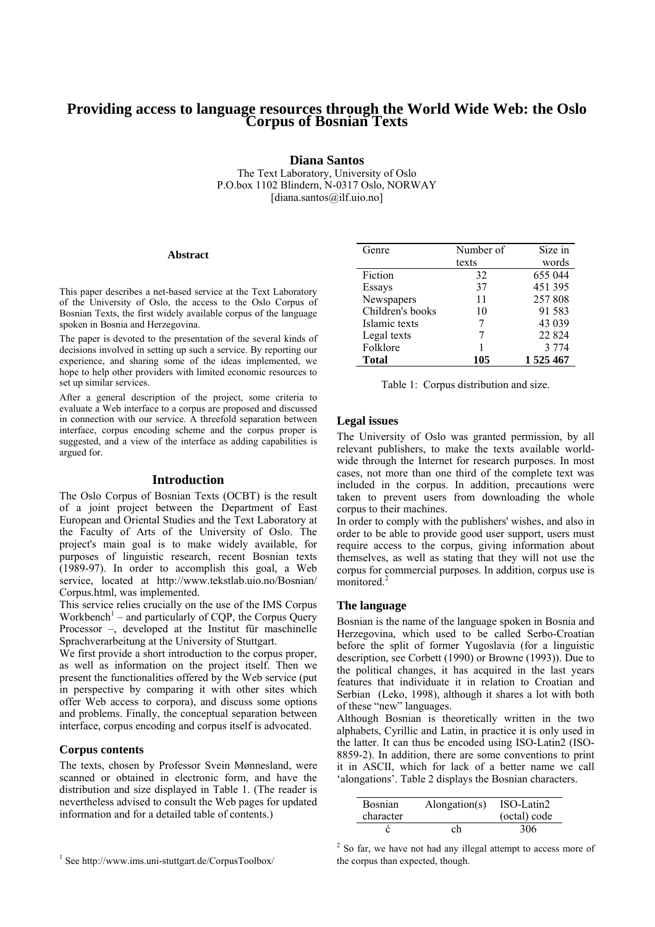# **Providing access to language resources through the World Wide Web: the Oslo Corpus of Bosnian Texts**

**Diana Santos** 

The Text Laboratory, University of Oslo P.O.box 1102 Blindern, N-0317 Oslo, NORWAY [diana.santos@ilf.uio.no]

#### **Abstract**

This paper describes a net-based service at the Text Laboratory of the University of Oslo, the access to the Oslo Corpus of Bosnian Texts, the first widely available corpus of the language spoken in Bosnia and Herzegovina.

The paper is devoted to the presentation of the several kinds of decisions involved in setting up such a service. By reporting our experience, and sharing some of the ideas implemented, we hope to help other providers with limited economic resources to set up similar services.

After a general description of the project, some criteria to evaluate a Web interface to a corpus are proposed and discussed in connection with our service. A threefold separation between interface, corpus encoding scheme and the corpus proper is suggested, and a view of the interface as adding capabilities is argued for.

#### **Introduction**

The Oslo Corpus of Bosnian Texts (OCBT) is the result of a joint project between the Department of East European and Oriental Studies and the Text Laboratory at the Faculty of Arts of the University of Oslo. The project's main goal is to make widely available, for purposes of linguistic research, recent Bosnian texts (1989-97). In order to accomplish this goal, a Web service, located at http://www.tekstlab.uio.no/Bosnian/ Corpus.html, was implemented.

This service relies crucially on the use of the IMS Corpus Workbench<sup>1</sup> – and particularly of CQP, the Corpus Query Processor –, developed at the Institut für maschinelle Sprachverarbeitung at the University of Stuttgart.

We first provide a short introduction to the corpus proper, as well as information on the project itself. Then we present the functionalities offered by the Web service (put in perspective by comparing it with other sites which offer Web access to corpora), and discuss some options and problems. Finally, the conceptual separation between interface, corpus encoding and corpus itself is advocated.

#### **Corpus contents**

The texts, chosen by Professor Svein Mønnesland, were scanned or obtained in electronic form, and have the distribution and size displayed in Table 1. (The reader is nevertheless advised to consult the Web pages for updated information and for a detailed table of contents.)

| Genre            | Number of | Size in |
|------------------|-----------|---------|
|                  | texts     | words   |
| Fiction          | 32        | 655 044 |
| Essays           | 37        | 451 395 |
| Newspapers       | 11        | 257808  |
| Children's books | 10        | 91 583  |
| Islamic texts    |           | 43 039  |
| Legal texts      |           | 22 8 24 |
| Folklore         |           | 3 7 7 4 |
| <b>Total</b>     | 105       | 1525467 |

Table 1: Corpus distribution and size.

#### **Legal issues**

The University of Oslo was granted permission, by all relevant publishers, to make the texts available worldwide through the Internet for research purposes. In most cases, not more than one third of the complete text was included in the corpus. In addition, precautions were taken to prevent users from downloading the whole corpus to their machines.

In order to comply with the publishers' wishes, and also in order to be able to provide good user support, users must require access to the corpus, giving information about themselves, as well as stating that they will not use the corpus for commercial purposes. In addition, corpus use is monitored.<sup>2</sup>

#### **The language**

Bosnian is the name of the language spoken in Bosnia and Herzegovina, which used to be called Serbo-Croatian before the split of former Yugoslavia (for a linguistic description, see Corbett (1990) or Browne (1993)). Due to the political changes, it has acquired in the last years features that individuate it in relation to Croatian and Serbian (Leko, 1998), although it shares a lot with both of these "new" languages.

Although Bosnian is theoretically written in the two alphabets, Cyrillic and Latin, in practice it is only used in the latter. It can thus be encoded using ISO-Latin2 (ISO-8859-2). In addition, there are some conventions to print it in ASCII, which for lack of a better name we call 'alongations'. Table 2 displays the Bosnian characters.

| <b>Bosnian</b> | Alongation(s) | ISO-Latin2   |
|----------------|---------------|--------------|
| character      |               | (octal) code |
|                | ch            | 306          |

 $2^2$  So far, we have not had any illegal attempt to access more of the corpus than expected, though.

<sup>1</sup> See http://www.ims.uni-stuttgart.de/CorpusToolbox/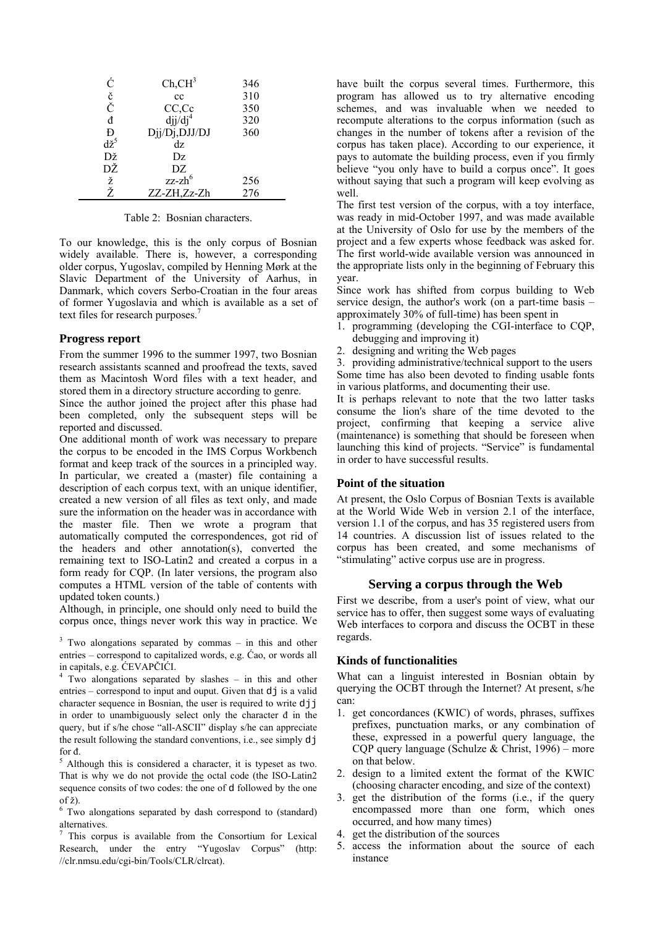| Ć              | $Ch, CH^3$    | 346 |
|----------------|---------------|-----|
| č<br>Č         | cc            | 310 |
|                | CC,Cc         | 350 |
| đ              | $djj/dj^4$    | 320 |
| Đ              | Djj/Dj,DJJ/DJ | 360 |
| $d\check{z}^5$ | dz            |     |
| Dž             | Dz            |     |
| DŽ             | DZ            |     |
| ž<br>Ž         | $zz$ -zh $6$  | 256 |
|                | ZZ-ZH,Zz-Zh   | 276 |

Table 2: Bosnian characters.

To our knowledge, this is the only corpus of Bosnian widely available. There is, however, a corresponding older corpus, Yugoslav, compiled by Henning Mørk at the Slavic Department of the University of Aarhus, in Danmark, which covers Serbo-Croatian in the four areas of former Yugoslavia and which is available as a set of text files for research purposes.<sup>7</sup>

#### **Progress report**

From the summer 1996 to the summer 1997, two Bosnian research assistants scanned and proofread the texts, saved them as Macintosh Word files with a text header, and stored them in a directory structure according to genre.

Since the author joined the project after this phase had been completed, only the subsequent steps will be reported and discussed.

One additional month of work was necessary to prepare the corpus to be encoded in the IMS Corpus Workbench format and keep track of the sources in a principled way. In particular, we created a (master) file containing a description of each corpus text, with an unique identifier, created a new version of all files as text only, and made sure the information on the header was in accordance with the master file. Then we wrote a program that automatically computed the correspondences, got rid of the headers and other annotation(s), converted the remaining text to ISO-Latin2 and created a corpus in a form ready for CQP. (In later versions, the program also computes a HTML version of the table of contents with updated token counts.)

Although, in principle, one should only need to build the corpus once, things never work this way in practice. We

 $3$  Two alongations separated by commas – in this and other entries – correspond to capitalized words, e.g. Ćao, or words all in capitals, e.g. ĆEVAPČIĆI. 4

<sup>4</sup> Two alongations separated by slashes – in this and other entries – correspond to input and ouput. Given that  $d\vec{j}$  is a valid character sequence in Bosnian, the user is required to write djj in order to unambiguously select only the character đ in the query, but if s/he chose "all-ASCII" display s/he can appreciate the result following the standard conventions, i.e., see simply dj

for đ.<br><sup>5</sup> Although this is considered a character, it is typeset as two. That is why we do not provide the octal code (the ISO-Latin2 sequence consits of two codes: the one of d followed by the one of ž).

<sup>6</sup> Two alongations separated by dash correspond to (standard) alternatives.

7 This corpus is available from the Consortium for Lexical Research, under the entry "Yugoslav Corpus" (http: //clr.nmsu.edu/cgi-bin/Tools/CLR/clrcat).

have built the corpus several times. Furthermore, this program has allowed us to try alternative encoding schemes, and was invaluable when we needed to recompute alterations to the corpus information (such as changes in the number of tokens after a revision of the corpus has taken place). According to our experience, it pays to automate the building process, even if you firmly believe "you only have to build a corpus once". It goes without saying that such a program will keep evolving as well.

The first test version of the corpus, with a toy interface, was ready in mid-October 1997, and was made available at the University of Oslo for use by the members of the project and a few experts whose feedback was asked for. The first world-wide available version was announced in the appropriate lists only in the beginning of February this year.

Since work has shifted from corpus building to Web service design, the author's work (on a part-time basis – approximately 30% of full-time) has been spent in

- 1. programming (developing the CGI-interface to CQP, debugging and improving it)
- 2. designing and writing the Web pages

3. providing administrative/technical support to the users Some time has also been devoted to finding usable fonts in various platforms, and documenting their use.

It is perhaps relevant to note that the two latter tasks consume the lion's share of the time devoted to the project, confirming that keeping a service alive (maintenance) is something that should be foreseen when launching this kind of projects. "Service" is fundamental in order to have successful results.

## **Point of the situation**

At present, the Oslo Corpus of Bosnian Texts is available at the World Wide Web in version 2.1 of the interface, version 1.1 of the corpus, and has 35 registered users from 14 countries. A discussion list of issues related to the corpus has been created, and some mechanisms of "stimulating" active corpus use are in progress.

## **Serving a corpus through the Web**

First we describe, from a user's point of view, what our service has to offer, then suggest some ways of evaluating Web interfaces to corpora and discuss the OCBT in these regards.

## **Kinds of functionalities**

What can a linguist interested in Bosnian obtain by querying the OCBT through the Internet? At present, s/he can:

- 1. get concordances (KWIC) of words, phrases, suffixes prefixes, punctuation marks, or any combination of these, expressed in a powerful query language, the CQP query language (Schulze & Christ, 1996) – more on that below.
- 2. design to a limited extent the format of the KWIC (choosing character encoding, and size of the context)
- 3. get the distribution of the forms (i.e., if the query encompassed more than one form, which ones occurred, and how many times)
- 4. get the distribution of the sources
- 5. access the information about the source of each instance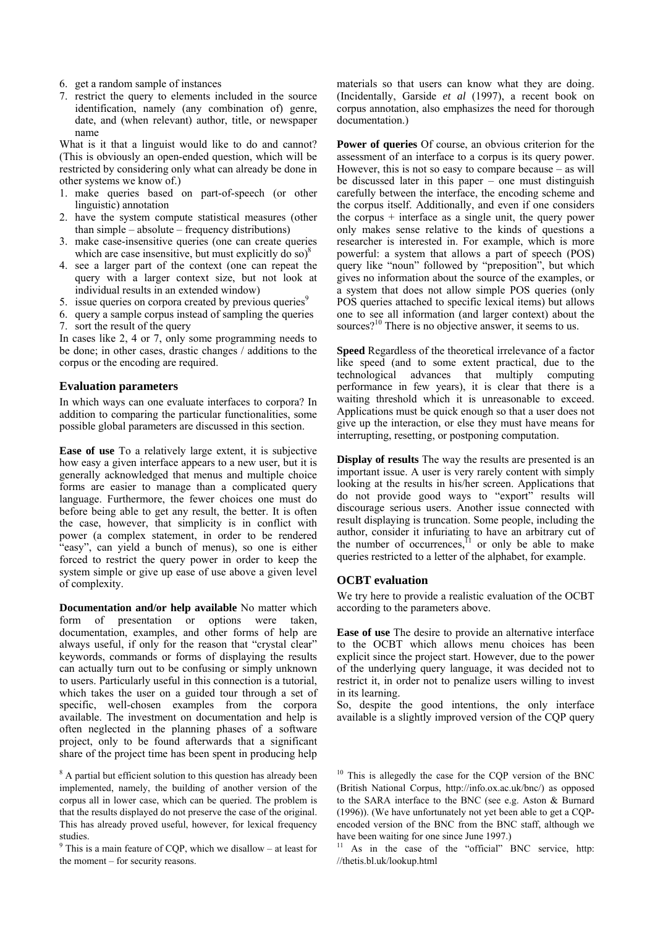- 6. get a random sample of instances
- 7. restrict the query to elements included in the source identification, namely (any combination of) genre, date, and (when relevant) author, title, or newspaper name

What is it that a linguist would like to do and cannot? (This is obviously an open-ended question, which will be restricted by considering only what can already be done in other systems we know of.)

- 1. make queries based on part-of-speech (or other linguistic) annotation
- 2. have the system compute statistical measures (other than simple – absolute – frequency distributions)
- 3. make case-insensitive queries (one can create queries which are case insensitive, but must explicitly do so) $8$
- 4. see a larger part of the context (one can repeat the query with a larger context size, but not look at individual results in an extended window)
- 5. issue queries on corpora created by previous queries<sup>9</sup>
- 6. query a sample corpus instead of sampling the queries
- 7. sort the result of the query

In cases like 2, 4 or 7, only some programming needs to be done; in other cases, drastic changes / additions to the corpus or the encoding are required.

# **Evaluation parameters**

In which ways can one evaluate interfaces to corpora? In addition to comparing the particular functionalities, some possible global parameters are discussed in this section.

**Ease of use** To a relatively large extent, it is subjective how easy a given interface appears to a new user, but it is generally acknowledged that menus and multiple choice forms are easier to manage than a complicated query language. Furthermore, the fewer choices one must do before being able to get any result, the better. It is often the case, however, that simplicity is in conflict with power (a complex statement, in order to be rendered "easy", can yield a bunch of menus), so one is either forced to restrict the query power in order to keep the system simple or give up ease of use above a given level of complexity.

**Documentation and/or help available** No matter which form of presentation or options were taken, documentation, examples, and other forms of help are always useful, if only for the reason that "crystal clear" keywords, commands or forms of displaying the results can actually turn out to be confusing or simply unknown to users. Particularly useful in this connection is a tutorial, which takes the user on a guided tour through a set of specific, well-chosen examples from the corpora available. The investment on documentation and help is often neglected in the planning phases of a software project, only to be found afterwards that a significant share of the project time has been spent in producing help

<sup>8</sup> A partial but efficient solution to this question has already been implemented, namely, the building of another version of the corpus all in lower case, which can be queried. The problem is that the results displayed do not preserve the case of the original. This has already proved useful, however, for lexical frequency studies.

 $9$  This is a main feature of CQP, which we disallow – at least for the moment – for security reasons.

materials so that users can know what they are doing. (Incidentally, Garside *et al* (1997), a recent book on corpus annotation, also emphasizes the need for thorough documentation.)

**Power of queries** Of course, an obvious criterion for the assessment of an interface to a corpus is its query power. However, this is not so easy to compare because – as will be discussed later in this paper – one must distinguish carefully between the interface, the encoding scheme and the corpus itself. Additionally, and even if one considers the corpus + interface as a single unit, the query power only makes sense relative to the kinds of questions a researcher is interested in. For example, which is more powerful: a system that allows a part of speech (POS) query like "noun" followed by "preposition", but which gives no information about the source of the examples, or a system that does not allow simple POS queries (only POS queries attached to specific lexical items) but allows one to see all information (and larger context) about the sources?<sup>10</sup> There is no objective answer, it seems to us.

**Speed** Regardless of the theoretical irrelevance of a factor like speed (and to some extent practical, due to the technological advances that multiply computing performance in few years), it is clear that there is a waiting threshold which it is unreasonable to exceed. Applications must be quick enough so that a user does not give up the interaction, or else they must have means for interrupting, resetting, or postponing computation.

**Display of results** The way the results are presented is an important issue. A user is very rarely content with simply looking at the results in his/her screen. Applications that do not provide good ways to "export" results will discourage serious users. Another issue connected with result displaying is truncation. Some people, including the author, consider it infuriating to have an arbitrary cut of the number of occurrences, $^{11}$  or only be able to make queries restricted to a letter of the alphabet, for example.

# **OCBT evaluation**

We try here to provide a realistic evaluation of the OCBT according to the parameters above.

**Ease of use** The desire to provide an alternative interface to the OCBT which allows menu choices has been explicit since the project start. However, due to the power of the underlying query language, it was decided not to restrict it, in order not to penalize users willing to invest in its learning.

So, despite the good intentions, the only interface available is a slightly improved version of the CQP query

<sup>11</sup> As in the case of the "official" BNC service, http: //thetis.bl.uk/lookup.html

 $10$  This is allegedly the case for the CQP version of the BNC (British National Corpus, http://info.ox.ac.uk/bnc/) as opposed to the SARA interface to the BNC (see e.g. Aston & Burnard (1996)). (We have unfortunately not yet been able to get a CQPencoded version of the BNC from the BNC staff, although we have been waiting for one since June 1997.)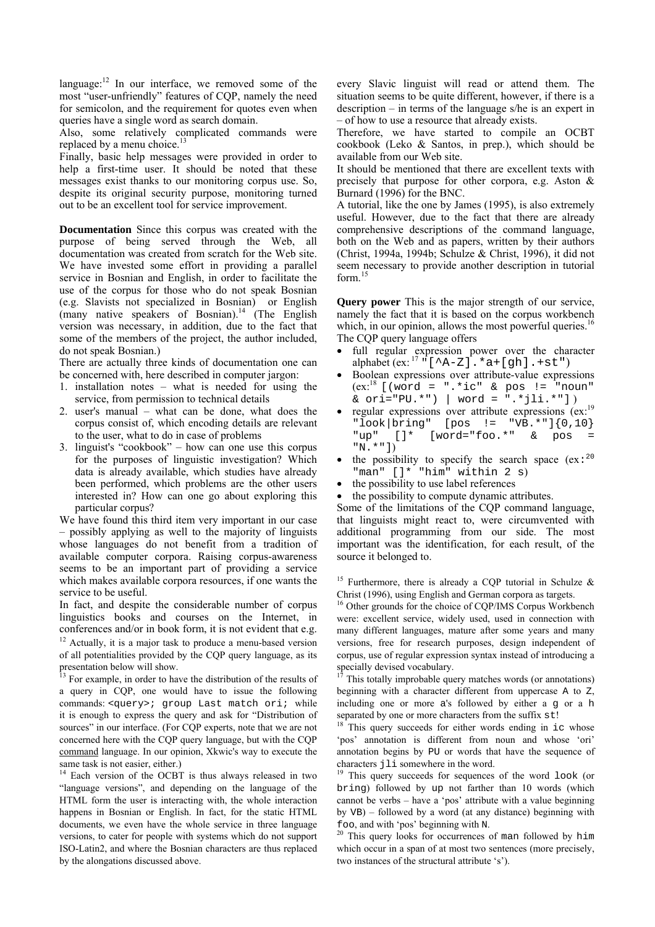language: $^{12}$  In our interface, we removed some of the most "user-unfriendly" features of CQP, namely the need for semicolon, and the requirement for quotes even when queries have a single word as search domain.

Also, some relatively complicated commands were replaced by a menu choice.<sup>13</sup>

Finally, basic help messages were provided in order to help a first-time user. It should be noted that these messages exist thanks to our monitoring corpus use. So, despite its original security purpose, monitoring turned out to be an excellent tool for service improvement.

**Documentation** Since this corpus was created with the purpose of being served through the Web, all documentation was created from scratch for the Web site. We have invested some effort in providing a parallel service in Bosnian and English, in order to facilitate the use of the corpus for those who do not speak Bosnian (e.g. Slavists not specialized in Bosnian) or English (many native speakers of Bosnian).<sup>14</sup> (The English version was necessary, in addition, due to the fact that some of the members of the project, the author included, do not speak Bosnian.)

There are actually three kinds of documentation one can be concerned with, here described in computer jargon:

- 1. installation notes what is needed for using the service, from permission to technical details
- 2. user's manual what can be done, what does the corpus consist of, which encoding details are relevant to the user, what to do in case of problems
- 3. linguist's "cookbook" how can one use this corpus for the purposes of linguistic investigation? Which data is already available, which studies have already been performed, which problems are the other users interested in? How can one go about exploring this particular corpus?

We have found this third item very important in our case – possibly applying as well to the majority of linguists whose languages do not benefit from a tradition of available computer corpora. Raising corpus-awareness seems to be an important part of providing a service which makes available corpora resources, if one wants the service to be useful.

In fact, and despite the considerable number of corpus linguistics books and courses on the Internet, in conferences and/or in book form, it is not evident that e.g. 12 Actually, it is a major task to produce a menu-based version of all potentialities provided by the CQP query language, as its presentation below will show.

 $\frac{13}{13}$  For example, in order to have the distribution of the results of a query in CQP, one would have to issue the following commands: <query>; group Last match ori; while it is enough to express the query and ask for "Distribution of sources" in our interface. (For CQP experts, note that we are not concerned here with the CQP query language, but with the CQP command language. In our opinion, Xkwic's way to execute the same task is not easier, either.)

<sup>14</sup> Each version of the OCBT is thus always released in two "language versions", and depending on the language of the HTML form the user is interacting with, the whole interaction happens in Bosnian or English. In fact, for the static HTML documents, we even have the whole service in three language versions, to cater for people with systems which do not support ISO-Latin2, and where the Bosnian characters are thus replaced by the alongations discussed above.

every Slavic linguist will read or attend them. The situation seems to be quite different, however, if there is a description – in terms of the language s/he is an expert in – of how to use a resource that already exists.

Therefore, we have started to compile an OCBT cookbook (Leko & Santos, in prep.), which should be available from our Web site.

It should be mentioned that there are excellent texts with precisely that purpose for other corpora, e.g. Aston & Burnard (1996) for the BNC.

A tutorial, like the one by James (1995), is also extremely useful. However, due to the fact that there are already comprehensive descriptions of the command language, both on the Web and as papers, written by their authors (Christ, 1994a, 1994b; Schulze & Christ, 1996), it did not seem necessary to provide another description in tutorial form.<sup>15</sup>

**Query power** This is the major strength of our service, namely the fact that it is based on the corpus workbench which, in our opinion, allows the most powerful queries.<sup>16</sup> The CQP query language offers

- full regular expression power over the character alphabet (ex:  $17 \cdot (-\text{A}-\text{Z})$ . \*a+[gh]. +st") • Boolean expressions over attribute-value expressions
- $(ex.^{18}$  [(word = ".\*ic" & pos != "noun" & ori="PU.\*") | word = ".\*jli.\*"] )
- regular expressions over attribute expressions (ex:19)  $"look|bring" [pos != "VB.*"]{0,10}$ "up" []\* [word="foo.\*" & pos "N.\*"])
- the possibility to specify the search space  $(ex: <sup>20</sup>]$ "man" []\* "him" within 2 s)
- the possibility to use label references
- the possibility to compute dynamic attributes.

Some of the limitations of the CQP command language, that linguists might react to, were circumvented with additional programming from our side. The most important was the identification, for each result, of the source it belonged to.

<sup>15</sup> Furthermore, there is already a CQP tutorial in Schulze  $\&$ Christ (1996), using English and German corpora as targets.

<sup>16</sup> Other grounds for the choice of CQP/IMS Corpus Workbench were: excellent service, widely used, used in connection with many different languages, mature after some years and many versions, free for research purposes, design independent of corpus, use of regular expression syntax instead of introducing a specially devised vocabulary.

This totally improbable query matches words (or annotations) beginning with a character different from uppercase A to Z, including one or more a's followed by either a g or a h separated by one or more characters from the suffix  $st!$ <br><sup>18</sup> This query succeeds for either words ending in ic whose

'pos' annotation is different from noun and whose 'ori' annotation begins by PU or words that have the sequence of characters jli somewhere in the word.<br><sup>19</sup> This query succeeds for sequences of the word look (or

bring) followed by up not farther than 10 words (which cannot be verbs – have a 'pos' attribute with a value beginning by VB) – followed by a word (at any distance) beginning with

foo, and with 'pos' beginning with N.  $^{20}$  This query looks for occurrences of man followed by him which occur in a span of at most two sentences (more precisely, two instances of the structural attribute 's').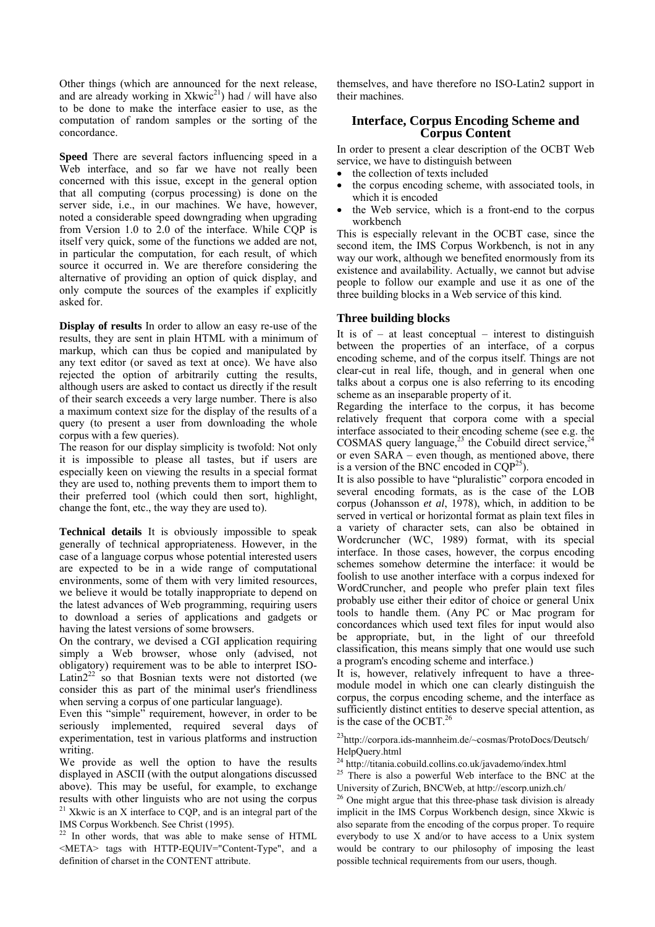Other things (which are announced for the next release, and are already working in  $Xkwic^{21}$  had / will have also to be done to make the interface easier to use, as the computation of random samples or the sorting of the concordance.

**Speed** There are several factors influencing speed in a Web interface, and so far we have not really been concerned with this issue, except in the general option that all computing (corpus processing) is done on the server side, i.e., in our machines. We have, however, noted a considerable speed downgrading when upgrading from Version 1.0 to 2.0 of the interface. While CQP is itself very quick, some of the functions we added are not, in particular the computation, for each result, of which source it occurred in. We are therefore considering the alternative of providing an option of quick display, and only compute the sources of the examples if explicitly asked for.

**Display of results** In order to allow an easy re-use of the results, they are sent in plain HTML with a minimum of markup, which can thus be copied and manipulated by any text editor (or saved as text at once). We have also rejected the option of arbitrarily cutting the results, although users are asked to contact us directly if the result of their search exceeds a very large number. There is also a maximum context size for the display of the results of a query (to present a user from downloading the whole corpus with a few queries).

The reason for our display simplicity is twofold: Not only it is impossible to please all tastes, but if users are especially keen on viewing the results in a special format they are used to, nothing prevents them to import them to their preferred tool (which could then sort, highlight, change the font, etc., the way they are used to).

**Technical details** It is obviously impossible to speak generally of technical appropriateness. However, in the case of a language corpus whose potential interested users are expected to be in a wide range of computational environments, some of them with very limited resources, we believe it would be totally inappropriate to depend on the latest advances of Web programming, requiring users to download a series of applications and gadgets or having the latest versions of some browsers.

On the contrary, we devised a CGI application requiring simply a Web browser, whose only (advised, not obligatory) requirement was to be able to interpret ISO-Latin $2^{22}$  so that Bosnian texts were not distorted (we consider this as part of the minimal user's friendliness when serving a corpus of one particular language).

Even this "simple" requirement, however, in order to be seriously implemented, required several days of experimentation, test in various platforms and instruction writing.

We provide as well the option to have the results displayed in ASCII (with the output alongations discussed above). This may be useful, for example, to exchange results with other linguists who are not using the corpus  $21$  Xkwic is an X interface to CQP, and is an integral part of the IMS Corpus Workbench. See Christ (1995).

<sup>22</sup> In other words, that was able to make sense of HTML <META> tags with HTTP-EQUIV="Content-Type", and a definition of charset in the CONTENT attribute.

themselves, and have therefore no ISO-Latin2 support in their machines.

# **Interface, Corpus Encoding Scheme and Corpus Content**

In order to present a clear description of the OCBT Web service, we have to distinguish between

- the collection of texts included
- the corpus encoding scheme, with associated tools, in which it is encoded
- the Web service, which is a front-end to the corpus workbench

This is especially relevant in the OCBT case, since the second item, the IMS Corpus Workbench, is not in any way our work, although we benefited enormously from its existence and availability. Actually, we cannot but advise people to follow our example and use it as one of the three building blocks in a Web service of this kind.

# **Three building blocks**

It is  $of - at least conceptual - interest to distinguish$ between the properties of an interface, of a corpus encoding scheme, and of the corpus itself. Things are not clear-cut in real life, though, and in general when one talks about a corpus one is also referring to its encoding scheme as an inseparable property of it.

Regarding the interface to the corpus, it has become relatively frequent that corpora come with a special interface associated to their encoding scheme (see e.g. the COSMAS query language, $^{23}$  the Cobuild direct service, $^{24}$ or even SARA – even though, as mentioned above, there is a version of the BNC encoded in  $COP<sup>25</sup>$ ).

It is also possible to have "pluralistic" corpora encoded in several encoding formats, as is the case of the LOB corpus (Johansson *et al*, 1978), which, in addition to be served in vertical or horizontal format as plain text files in a variety of character sets, can also be obtained in Wordcruncher (WC, 1989) format, with its special interface. In those cases, however, the corpus encoding schemes somehow determine the interface: it would be foolish to use another interface with a corpus indexed for WordCruncher, and people who prefer plain text files probably use either their editor of choice or general Unix tools to handle them. (Any PC or Mac program for concordances which used text files for input would also be appropriate, but, in the light of our threefold classification, this means simply that one would use such a program's encoding scheme and interface.)

It is, however, relatively infrequent to have a threemodule model in which one can clearly distinguish the corpus, the corpus encoding scheme, and the interface as sufficiently distinct entities to deserve special attention, as is the case of the OCBT.<sup>26</sup>

23http://corpora.ids-mannheim.de/~cosmas/ProtoDocs/Deutsch/ HelpQuery.html

24 http://titania.cobuild.collins.co.uk/javademo/index.html

 $25$  There is also a powerful Web interface to the BNC at the University of Zurich, BNCWeb, at http://escorp.unizh.ch/

<sup>&</sup>lt;sup>26</sup> One might argue that this three-phase task division is already implicit in the IMS Corpus Workbench design, since Xkwic is also separate from the encoding of the corpus proper. To require everybody to use X and/or to have access to a Unix system would be contrary to our philosophy of imposing the least possible technical requirements from our users, though.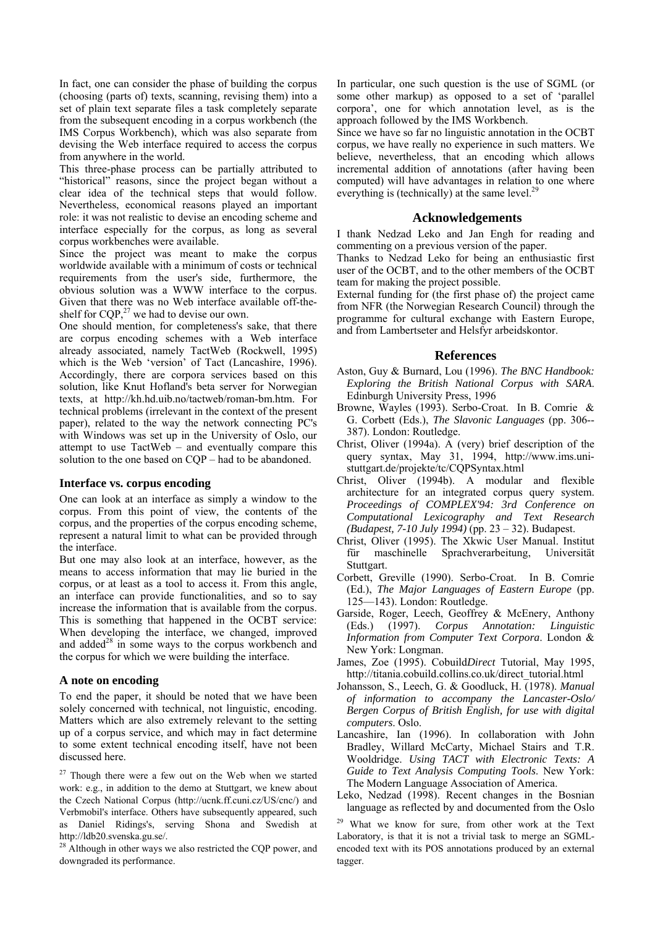In fact, one can consider the phase of building the corpus (choosing (parts of) texts, scanning, revising them) into a set of plain text separate files a task completely separate from the subsequent encoding in a corpus workbench (the IMS Corpus Workbench), which was also separate from devising the Web interface required to access the corpus from anywhere in the world.

This three-phase process can be partially attributed to "historical" reasons, since the project began without a clear idea of the technical steps that would follow. Nevertheless, economical reasons played an important role: it was not realistic to devise an encoding scheme and interface especially for the corpus, as long as several corpus workbenches were available.

Since the project was meant to make the corpus worldwide available with a minimum of costs or technical requirements from the user's side, furthermore, the obvious solution was a WWW interface to the corpus. Given that there was no Web interface available off-theshelf for  $CQP<sub>z</sub><sup>27</sup>$  we had to devise our own.

One should mention, for completeness's sake, that there are corpus encoding schemes with a Web interface already associated, namely TactWeb (Rockwell, 1995) which is the Web 'version' of Tact (Lancashire, 1996). Accordingly, there are corpora services based on this solution, like Knut Hofland's beta server for Norwegian texts, at http://kh.hd.uib.no/tactweb/roman-bm.htm. For technical problems (irrelevant in the context of the present paper), related to the way the network connecting PC's with Windows was set up in the University of Oslo, our attempt to use TactWeb – and eventually compare this solution to the one based on CQP – had to be abandoned.

#### **Interface vs. corpus encoding**

One can look at an interface as simply a window to the corpus. From this point of view, the contents of the corpus, and the properties of the corpus encoding scheme, represent a natural limit to what can be provided through the interface.

But one may also look at an interface, however, as the means to access information that may lie buried in the corpus, or at least as a tool to access it. From this angle, an interface can provide functionalities, and so to say increase the information that is available from the corpus. This is something that happened in the OCBT service: When developing the interface, we changed, improved and added $28$  in some ways to the corpus workbench and the corpus for which we were building the interface.

## **A note on encoding**

To end the paper, it should be noted that we have been solely concerned with technical, not linguistic, encoding. Matters which are also extremely relevant to the setting up of a corpus service, and which may in fact determine to some extent technical encoding itself, have not been discussed here.

 $27$  Though there were a few out on the Web when we started work: e.g., in addition to the demo at Stuttgart, we knew about the Czech National Corpus (http://ucnk.ff.cuni.cz/US/cnc/) and Verbmobil's interface. Others have subsequently appeared, such as Daniel Ridings's, serving Shona and Swedish at http://ldb20.svenska.gu.se/.

<sup>28</sup> Although in other ways we also restricted the CQP power, and downgraded its performance.

In particular, one such question is the use of SGML (or some other markup) as opposed to a set of 'parallel corpora', one for which annotation level, as is the approach followed by the IMS Workbench.

Since we have so far no linguistic annotation in the OCBT corpus, we have really no experience in such matters. We believe, nevertheless, that an encoding which allows incremental addition of annotations (after having been computed) will have advantages in relation to one where everything is (technically) at the same level. $<sup>2</sup>$ </sup>

### **Acknowledgements**

I thank Nedzad Leko and Jan Engh for reading and commenting on a previous version of the paper.

Thanks to Nedzad Leko for being an enthusiastic first user of the OCBT, and to the other members of the OCBT team for making the project possible.

External funding for (the first phase of) the project came from NFR (the Norwegian Research Council) through the programme for cultural exchange with Eastern Europe, and from Lambertseter and Helsfyr arbeidskontor.

#### **References**

- Aston, Guy & Burnard, Lou (1996). *The BNC Handbook: Exploring the British National Corpus with SARA*. Edinburgh University Press, 1996
- Browne, Wayles (1993). Serbo-Croat. In B. Comrie & G. Corbett (Eds.), *The Slavonic Languages* (pp. 306-- 387). London: Routledge.
- Christ, Oliver (1994a). A (very) brief description of the query syntax, May 31, 1994, http://www.ims.unistuttgart.de/projekte/tc/CQPSyntax.html
- Christ, Oliver (1994b). A modular and flexible architecture for an integrated corpus query system. *Proceedings of COMPLEX'94: 3rd Conference on Computational Lexicography and Text Research (Budapest, 7-10 July 1994)* (pp. 23 – 32). Budapest.
- Christ, Oliver (1995). The Xkwic User Manual. Institut für maschinelle Sprachverarbeitung, Universität Stuttgart.
- Corbett, Greville (1990). Serbo-Croat. In B. Comrie (Ed.), *The Major Languages of Eastern Europe* (pp. 125—143). London: Routledge.
- Garside, Roger, Leech, Geoffrey & McEnery, Anthony (Eds.) (1997). Corpus Annotation: Linguistic (Eds.) (1997). *Corpus Annotation: Linguistic Information from Computer Text Corpora*. London & New York: Longman.
- James, Zoe (1995). Cobuild*Direct* Tutorial, May 1995, http://titania.cobuild.collins.co.uk/direct\_tutorial.html
- Johansson, S., Leech, G. & Goodluck, H. (1978). *Manual of information to accompany the Lancaster-Oslo/ Bergen Corpus of British English, for use with digital computers*. Oslo.
- Lancashire, Ian (1996). In collaboration with John Bradley, Willard McCarty, Michael Stairs and T.R. Wooldridge. *Using TACT with Electronic Texts: A Guide to Text Analysis Computing Tools*. New York: The Modern Language Association of America.
- Leko, Nedzad (1998). Recent changes in the Bosnian language as reflected by and documented from the Oslo

29 What we know for sure, from other work at the Text Laboratory, is that it is not a trivial task to merge an SGMLencoded text with its POS annotations produced by an external tagger.